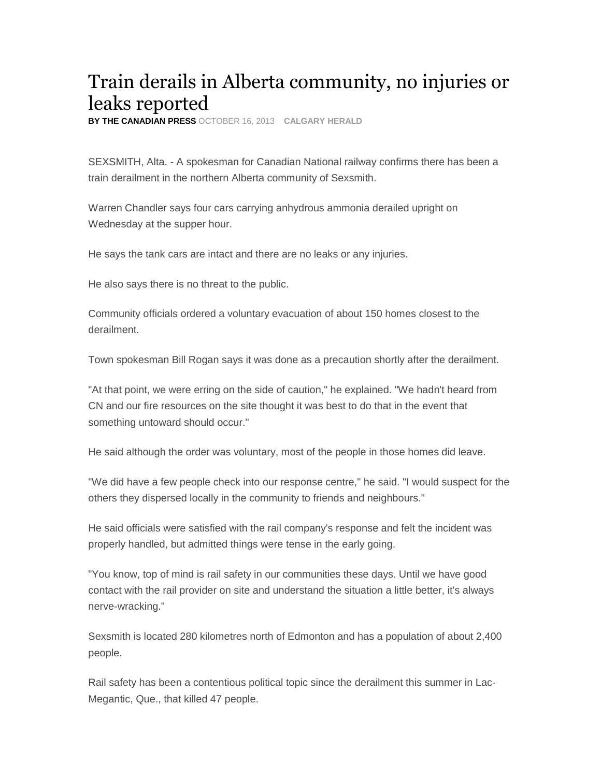## Train derails in Alberta community, no injuries or leaks reported

**BY THE CANADIAN PRESS** OCTOBER 16, 2013 **CALGARY HERALD**

SEXSMITH, Alta. - A spokesman for Canadian National railway confirms there has been a train derailment in the northern Alberta community of Sexsmith.

Warren Chandler says four cars carrying anhydrous ammonia derailed upright on Wednesday at the supper hour.

He says the tank cars are intact and there are no leaks or any injuries.

He also says there is no threat to the public.

Community officials ordered a voluntary evacuation of about 150 homes closest to the derailment.

Town spokesman Bill Rogan says it was done as a precaution shortly after the derailment.

"At that point, we were erring on the side of caution," he explained. "We hadn't heard from CN and our fire resources on the site thought it was best to do that in the event that something untoward should occur."

He said although the order was voluntary, most of the people in those homes did leave.

"We did have a few people check into our response centre," he said. "I would suspect for the others they dispersed locally in the community to friends and neighbours."

He said officials were satisfied with the rail company's response and felt the incident was properly handled, but admitted things were tense in the early going.

"You know, top of mind is rail safety in our communities these days. Until we have good contact with the rail provider on site and understand the situation a little better, it's always nerve-wracking."

Sexsmith is located 280 kilometres north of Edmonton and has a population of about 2,400 people.

Rail safety has been a contentious political topic since the derailment this summer in Lac-Megantic, Que., that killed 47 people.